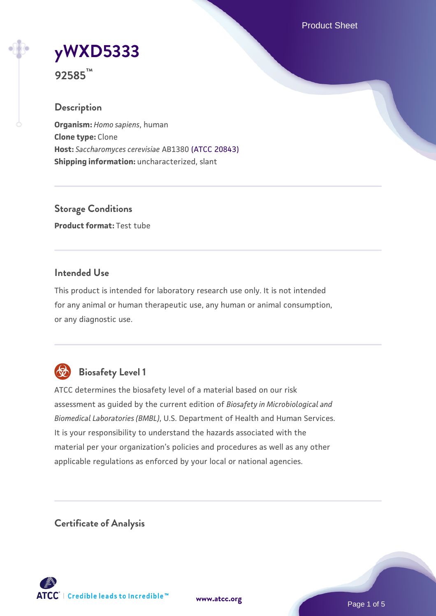Product Sheet

# **[yWXD5333](https://www.atcc.org/products/92585)**

**92585™**

# **Description**

**Organism:** *Homo sapiens*, human **Clone type:** Clone **Host:** *Saccharomyces cerevisiae* AB1380 [\(ATCC 20843\)](https://www.atcc.org/products/20843) **Shipping information:** uncharacterized, slant

**Storage Conditions Product format:** Test tube

# **Intended Use**

This product is intended for laboratory research use only. It is not intended for any animal or human therapeutic use, any human or animal consumption, or any diagnostic use.



# **Biosafety Level 1**

ATCC determines the biosafety level of a material based on our risk assessment as guided by the current edition of *Biosafety in Microbiological and Biomedical Laboratories (BMBL)*, U.S. Department of Health and Human Services. It is your responsibility to understand the hazards associated with the material per your organization's policies and procedures as well as any other applicable regulations as enforced by your local or national agencies.

**Certificate of Analysis**

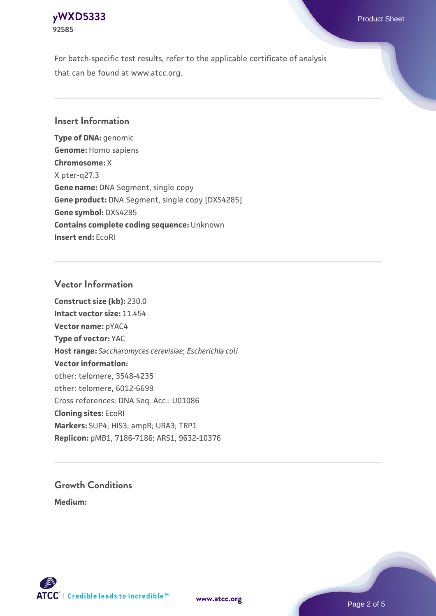#### **[yWXD5333](https://www.atcc.org/products/92585)** Product Sheet **92585**

For batch-specific test results, refer to the applicable certificate of analysis that can be found at www.atcc.org.

# **Insert Information**

**Type of DNA:** genomic **Genome:** Homo sapiens **Chromosome:** X X pter-q27.3 **Gene name:** DNA Segment, single copy **Gene product:** DNA Segment, single copy [DXS4285] **Gene symbol:** DXS4285 **Contains complete coding sequence:** Unknown **Insert end:** EcoRI

## **Vector Information**

**Construct size (kb):** 230.0 **Intact vector size:** 11.454 **Vector name:** pYAC4 **Type of vector:** YAC **Host range:** *Saccharomyces cerevisiae*; *Escherichia coli* **Vector information:** other: telomere, 3548-4235 other: telomere, 6012-6699 Cross references: DNA Seq. Acc.: U01086 **Cloning sites:** EcoRI **Markers:** SUP4; HIS3; ampR; URA3; TRP1 **Replicon:** pMB1, 7186-7186; ARS1, 9632-10376

# **Growth Conditions**

**Medium:** 



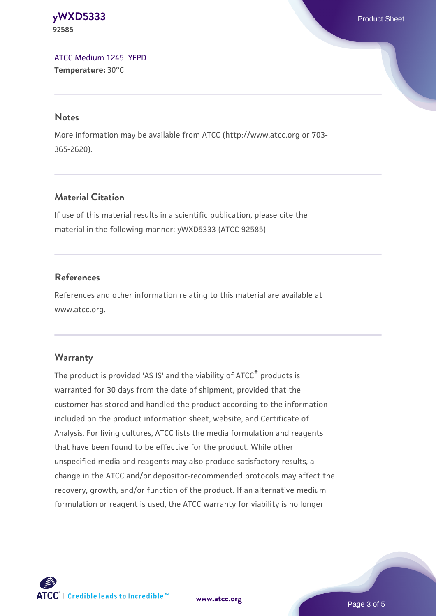#### **[yWXD5333](https://www.atcc.org/products/92585)** Product Sheet **92585**

[ATCC Medium 1245: YEPD](https://www.atcc.org/-/media/product-assets/documents/microbial-media-formulations/1/2/4/5/atcc-medium-1245.pdf?rev=705ca55d1b6f490a808a965d5c072196) **Temperature:** 30°C

#### **Notes**

More information may be available from ATCC (http://www.atcc.org or 703- 365-2620).

# **Material Citation**

If use of this material results in a scientific publication, please cite the material in the following manner: yWXD5333 (ATCC 92585)

# **References**

References and other information relating to this material are available at www.atcc.org.

# **Warranty**

The product is provided 'AS IS' and the viability of ATCC® products is warranted for 30 days from the date of shipment, provided that the customer has stored and handled the product according to the information included on the product information sheet, website, and Certificate of Analysis. For living cultures, ATCC lists the media formulation and reagents that have been found to be effective for the product. While other unspecified media and reagents may also produce satisfactory results, a change in the ATCC and/or depositor-recommended protocols may affect the recovery, growth, and/or function of the product. If an alternative medium formulation or reagent is used, the ATCC warranty for viability is no longer



**[www.atcc.org](http://www.atcc.org)**

Page 3 of 5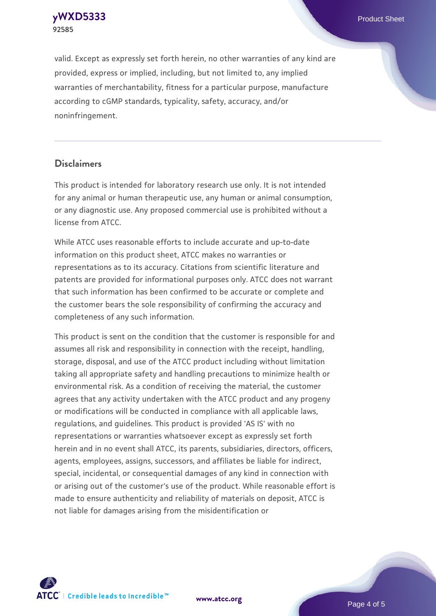**[yWXD5333](https://www.atcc.org/products/92585)** Product Sheet **92585**

valid. Except as expressly set forth herein, no other warranties of any kind are provided, express or implied, including, but not limited to, any implied warranties of merchantability, fitness for a particular purpose, manufacture according to cGMP standards, typicality, safety, accuracy, and/or noninfringement.

#### **Disclaimers**

This product is intended for laboratory research use only. It is not intended for any animal or human therapeutic use, any human or animal consumption, or any diagnostic use. Any proposed commercial use is prohibited without a license from ATCC.

While ATCC uses reasonable efforts to include accurate and up-to-date information on this product sheet, ATCC makes no warranties or representations as to its accuracy. Citations from scientific literature and patents are provided for informational purposes only. ATCC does not warrant that such information has been confirmed to be accurate or complete and the customer bears the sole responsibility of confirming the accuracy and completeness of any such information.

This product is sent on the condition that the customer is responsible for and assumes all risk and responsibility in connection with the receipt, handling, storage, disposal, and use of the ATCC product including without limitation taking all appropriate safety and handling precautions to minimize health or environmental risk. As a condition of receiving the material, the customer agrees that any activity undertaken with the ATCC product and any progeny or modifications will be conducted in compliance with all applicable laws, regulations, and guidelines. This product is provided 'AS IS' with no representations or warranties whatsoever except as expressly set forth herein and in no event shall ATCC, its parents, subsidiaries, directors, officers, agents, employees, assigns, successors, and affiliates be liable for indirect, special, incidental, or consequential damages of any kind in connection with or arising out of the customer's use of the product. While reasonable effort is made to ensure authenticity and reliability of materials on deposit, ATCC is not liable for damages arising from the misidentification or



**[www.atcc.org](http://www.atcc.org)**

Page 4 of 5